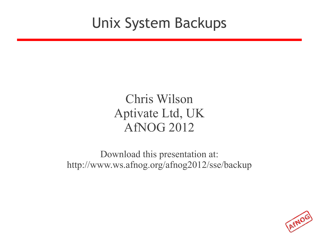#### Unix System Backups

#### Chris Wilson Aptivate Ltd, UK AfNOG 2012

Download this presentation at: http://www.ws.afnog.org/afnog2012/sse/backup

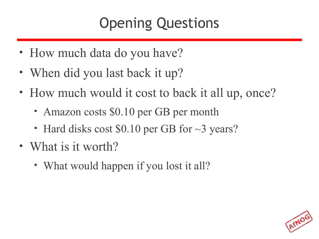# Opening Questions

- How much data do you have?
- When did you last back it up?
- How much would it cost to back it all up, once?
	- Amazon costs \$0.10 per GB per month
	- Hard disks cost \$0.10 per GB for  $\sim$ 3 years?
- What is it worth?
	- What would happen if you lost it all?

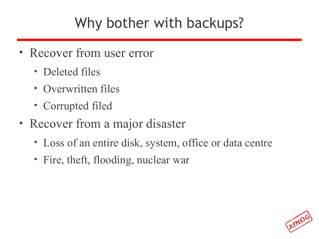### Why bother with backups?

- Recover from user error
	- Deleted files
	- Overwritten files
	- Corrupted filed
- Recover from a major disaster
	- Loss of an entire disk, system, office or data centre
	- Fire, theft, flooding, nuclear war

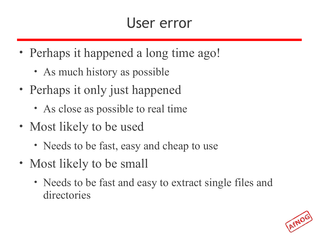#### User error

- Perhaps it happened a long time ago!
	- As much history as possible
- Perhaps it only just happened
	- As close as possible to real time
- Most likely to be used
	- Needs to be fast, easy and cheap to use
- Most likely to be small
	- Needs to be fast and easy to extract single files and directories

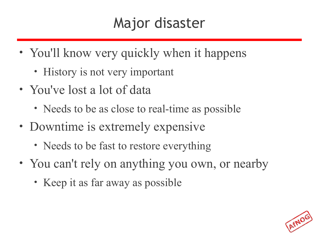#### Major disaster

- You'll know very quickly when it happens
	- History is not very important
- You've lost a lot of data
	- Needs to be as close to real-time as possible
- Downtime is extremely expensive
	- Needs to be fast to restore everything
- You can't rely on anything you own, or nearby
	- Keep it as far away as possible

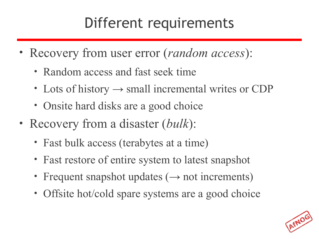### Different requirements

- Recovery from user error (*random access*):
	- Random access and fast seek time
	- Lots of history  $\rightarrow$  small incremental writes or CDP
	- Onsite hard disks are a good choice
- Recovery from a disaster (*bulk*):
	- Fast bulk access (terabytes at a time)
	- Fast restore of entire system to latest snapshot
	- Frequent snapshot updates  $(\rightarrow$  not increments)
	- Offsite hot/cold spare systems are a good choice

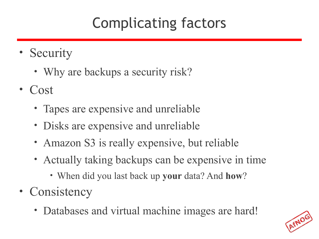# Complicating factors

- Security
	- Why are backups a security risk?
- Cost
	- Tapes are expensive and unreliable
	- Disks are expensive and unreliable
	- Amazon S3 is really expensive, but reliable
	- Actually taking backups can be expensive in time
		- When did you last back up **your** data? And **how**?
- Consistency
	- Databases and virtual machine images are hard!

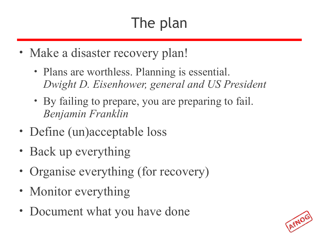# The plan

- Make a disaster recovery plan!
	- Plans are worthless. Planning is essential. *Dwight D. Eisenhower, general and US President*
	- By failing to prepare, you are preparing to fail. *Benjamin Franklin*
- Define (un)acceptable loss
- Back up everything
- Organise everything (for recovery)
- Monitor everything
- Document what you have done

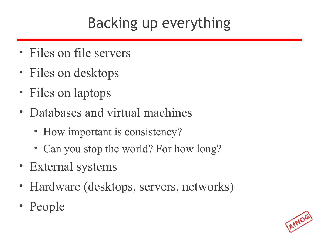# Backing up everything

- Files on file servers
- Files on desktops
- Files on laptops
- Databases and virtual machines
	- How important is consistency?
	- Can you stop the world? For how long?
- External systems
- Hardware (desktops, servers, networks)
- People

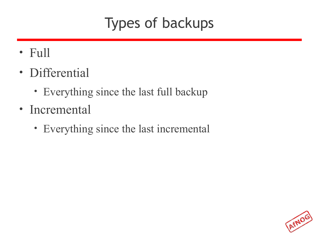### Types of backups

- Full
- Differential
	- Everything since the last full backup
- Incremental
	- Everything since the last incremental

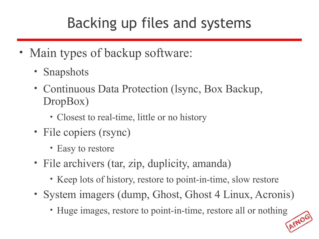### Backing up files and systems

- Main types of backup software:
	- Snapshots
	- Continuous Data Protection (lsync, Box Backup, DropBox)
		- Closest to real-time, little or no history
	- File copiers (rsync)
		- Easy to restore
	- File archivers (tar, zip, duplicity, amanda)
		- Keep lots of history, restore to point-in-time, slow restore
	- System imagers (dump, Ghost, Ghost 4 Linux, Acronis)
		- Huge images, restore to point-in-time, restore all or nothing

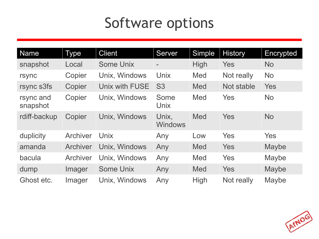#### Software options

| Name                  | <b>Type</b> | <b>Client</b>    | Server                   | <b>Simple</b> | <b>History</b> | Encrypted    |
|-----------------------|-------------|------------------|--------------------------|---------------|----------------|--------------|
| snapshot              | Local       | Some Unix        | $\overline{\phantom{m}}$ | <b>High</b>   | Yes            | <b>No</b>    |
| rsync                 | Copier      | Unix, Windows    | Unix                     | <b>Med</b>    | Not really     | <b>No</b>    |
| rsync s3fs            | Copier      | Unix with FUSE   | S <sub>3</sub>           | <b>Med</b>    | Not stable     | Yes          |
| rsync and<br>snapshot | Copier      | Unix, Windows    | Some<br>Unix             | <b>Med</b>    | Yes            | <b>No</b>    |
| rdiff-backup          | Copier      | Unix, Windows    | Unix,<br><b>Windows</b>  | <b>Med</b>    | Yes            | <b>No</b>    |
| duplicity             | Archiver    | Unix             | Any                      | Low           | Yes            | <b>Yes</b>   |
| amanda                | Archiver    | Unix, Windows    | Any                      | Med           | Yes            | Maybe        |
| bacula                | Archiver    | Unix, Windows    | Any                      | <b>Med</b>    | Yes            | Maybe        |
| dump                  | Imager      | <b>Some Unix</b> | Any                      | Med           | Yes            | Maybe        |
| Ghost etc.            | Imager      | Unix, Windows    | Any                      | <b>High</b>   | Not really     | <b>Maybe</b> |

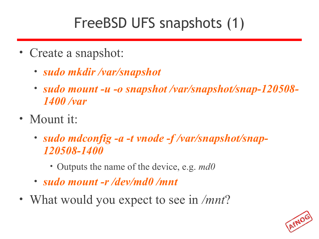### FreeBSD UFS snapshots (1)

- Create a snapshot:
	- *sudo mkdir /var/snapshot*
	- *sudo mount -u -o snapshot /var/snapshot/snap-120508- 1400 /var*
- Mount it:
	- *sudo mdconfig -a -t vnode -f /var/snapshot/snap-120508-1400*
		- Outputs the name of the device, e.g. *md0*
	- *sudo mount -r /dev/md0 /mnt*
- What would you expect to see in */mnt*?

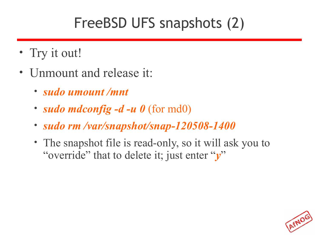### FreeBSD UFS snapshots (2)

- Try it out!
- Unmount and release it:
	- *sudo umount /mnt*
	- *sudo mdconfig -d -u 0* (for md0)
	- *sudo rm /var/snapshot/snap-120508-1400*
	- The snapshot file is read-only, so it will ask you to "override" that to delete it; just enter "*y*"

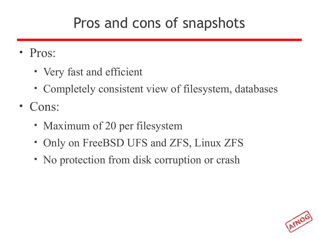#### Pros and cons of snapshots

- Pros:
	- Very fast and efficient
	- Completely consistent view of filesystem, databases
- Cons:
	- Maximum of 20 per filesystem
	- Only on FreeBSD UFS and ZFS, Linux ZFS
	- No protection from disk corruption or crash

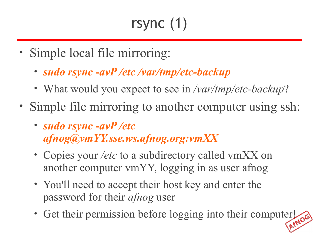# rsync (1)

- Simple local file mirroring:
	- *sudo rsync -avP /etc /var/tmp/etc-backup*
	- What would you expect to see in */var/tmp/etc-backup*?
- Simple file mirroring to another computer using ssh:
	- *sudo rsync -avP /etc afnog@vmYY.sse.ws.afnog.org:vmXX*
	- Copies your */etc* to a subdirectory called vmXX on another computer vmYY, logging in as user afnog
	- You'll need to accept their host key and enter the password for their *afnog* user
	- Get their permission before logging into their computer!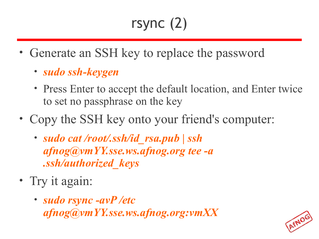# rsync (2)

- Generate an SSH key to replace the password
	- *sudo ssh-keygen*
	- Press Enter to accept the default location, and Enter twice to set no passphrase on the key
- Copy the SSH key onto your friend's computer:
	- *sudo cat /root/.ssh/id\_rsa.pub | ssh afnog@vmYY.sse.ws.afnog.org tee -a .ssh/authorized\_keys*
- Try it again:
	- *sudo rsync -avP /etc afnog@vmYY.sse.ws.afnog.org:vmXX*

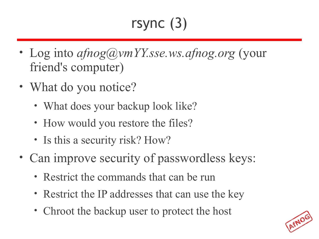# rsync (3)

- Log into *afnog@vmYY.sse.ws.afnog.org* (your friend's computer)
- What do you notice?
	- What does your backup look like?
	- How would you restore the files?
	- Is this a security risk? How?
- Can improve security of passwordless keys:
	- Restrict the commands that can be run
	- Restrict the IP addresses that can use the key
	- Chroot the backup user to protect the host

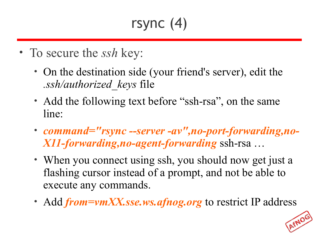# rsync (4)

- To secure the *ssh* key:
	- On the destination side (your friend's server), edit the *.ssh/authorized\_keys* file
	- Add the following text before "ssh-rsa", on the same line:
	- *command="rsync --server -av",no-port-forwarding,no-X11-forwarding,no-agent-forwarding* ssh-rsa …
	- When you connect using ssh, you should now get just a flashing cursor instead of a prompt, and not be able to execute any commands.
	- Add *from=vmXX.sse.ws.afnog.org* to restrict IP address

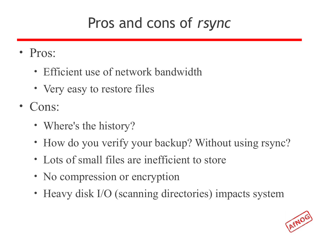#### Pros and cons of *rsync*

- Pros:
	- Efficient use of network bandwidth
	- Very easy to restore files
- Cons:
	- Where's the history?
	- How do you verify your backup? Without using rsync?
	- Lots of small files are inefficient to store
	- No compression or encryption
	- Heavy disk I/O (scanning directories) impacts system

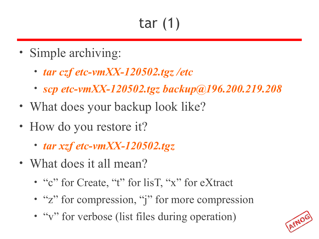# tar (1)

- Simple archiving:
	- *tar czf etc-vmXX-120502.tgz /etc*
	- *scp etc-vmXX-120502.tgz backup@196.200.219.208*
- What does your backup look like?
- How do you restore it?
	- *tar xzf etc-vmXX-120502.tgz*
- What does it all mean?
	- "c" for Create, "t" for list, "x" for eXtract
	- "z" for compression, "j" for more compression
	- "v" for verbose (list files during operation)

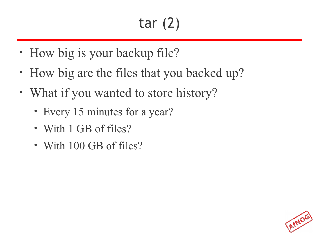# tar (2)

AFNO

- How big is your backup file?
- How big are the files that you backed up?
- What if you wanted to store history?
	- Every 15 minutes for a year?
	- With 1 GB of files?
	- With 100 GB of files?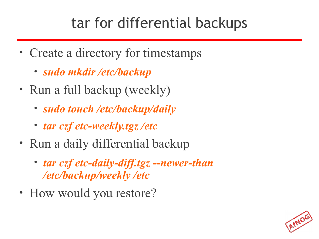### tar for differential backups

- Create a directory for timestamps
	- *sudo mkdir /etc/backup*
- Run a full backup (weekly)
	- *sudo touch /etc/backup/daily*
	- *tar czf etc-weekly.tgz /etc*
- Run a daily differential backup
	- *tar czf etc-daily-diff.tgz --newer-than /etc/backup/weekly /etc*
- How would you restore?

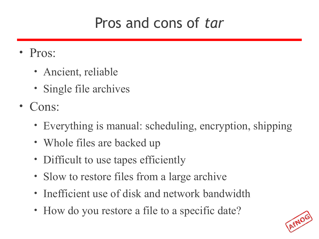#### Pros and cons of *tar*

- Pros:
	- Ancient, reliable
	- Single file archives
- Cons:
	- Everything is manual: scheduling, encryption, shipping
	- Whole files are backed up
	- Difficult to use tapes efficiently
	- Slow to restore files from a large archive
	- Inefficient use of disk and network bandwidth
	- How do you restore a file to a specific date?

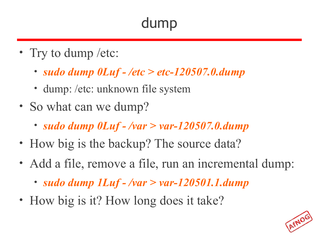### dump

- Try to dump / etc:
	- *sudo dump 0Luf /etc > etc-120507.0.dump*
	- dump: /etc: unknown file system
- So what can we dump?
	- *sudo dump 0Luf /var > var-120507.0.dump*
- How big is the backup? The source data?
- Add a file, remove a file, run an incremental dump:
	- *sudo dump 1Luf /var > var-120501.1.dump*
- How big is it? How long does it take?

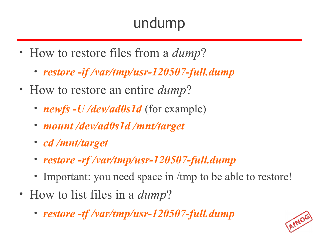# undump

- How to restore files from a *dump*?
	- *restore -if /var/tmp/usr-120507-full.dump*
- How to restore an entire *dump*?
	- *newfs -U /dev/ad0s1d* (for example)
	- *mount /dev/ad0s1d /mnt/target*
	- *cd /mnt/target*
	- *restore -rf /var/tmp/usr-120507-full.dump*
	- Important: you need space in /tmp to be able to restore!
- How to list files in a *dump*?
	- *restore -tf /var/tmp/usr-120507-full.dump*

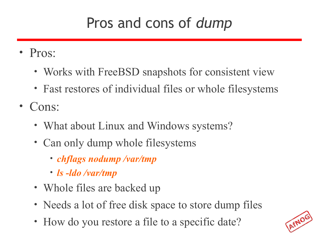#### Pros and cons of *dump*

- Pros:
	- Works with FreeBSD snapshots for consistent view
	- Fast restores of individual files or whole filesystems
- Cons:
	- What about Linux and Windows systems?
	- Can only dump whole filesystems
		- *chflags nodump /var/tmp*
		- *ls -ldo /var/tmp*
	- Whole files are backed up
	- Needs a lot of free disk space to store dump files
	- How do you restore a file to a specific date?

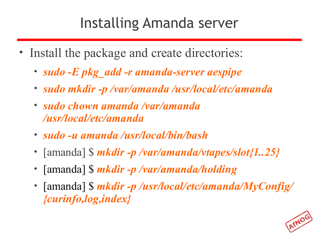#### Installing Amanda server

- Install the package and create directories:
	- *sudo -E pkg\_add -r amanda-server aespipe*
	- *sudo mkdir -p /var/amanda /usr/local/etc/amanda*
	- *sudo chown amanda /var/amanda /usr/local/etc/amanda*
	- *sudo -u amanda /usr/local/bin/bash*
	- [amanda] \$ *mkdir -p /var/amanda/vtapes/slot{1..25}*
	- [amanda] \$ *mkdir -p /var/amanda/holding*
	- [amanda] \$ *mkdir -p /usr/local/etc/amanda/MyConfig/ {curinfo,log,index}*

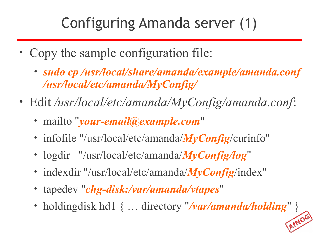# Configuring Amanda server (1)

- Copy the sample configuration file:
	- *sudo cp /usr/local/share/amanda/example/amanda.conf /usr/local/etc/amanda/MyConfig/*
- Edit */usr/local/etc/amanda/MyConfig/amanda.conf*:
	- mailto "*your-email@example.com*"
	- infofile "/usr/local/etc/amanda/*MyConfig*/curinfo"
	- logdir "/usr/local/etc/amanda/*MyConfig/log*"
	- indexdir "/usr/local/etc/amanda/*MyConfig*/index"
	- tapedev "*chg-disk:/var/amanda/vtapes*"
	- holdingdisk hd1 { ... directory "/var/amanda/holding" }

AFNO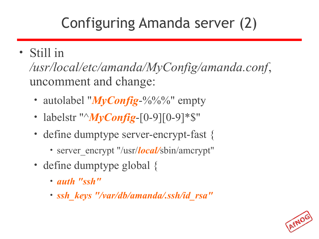# Configuring Amanda server (2)

#### • Still in

*/usr/local/etc/amanda/MyConfig/amanda.conf*, uncomment and change:

- autolabel "*MyConfig*-%%%" empty
- labelstr " $MvConfig-[0-9][0-9]*\$$ "
- define dumptype server-encrypt-fast {
	- server encrypt "/usr/*local*/sbin/amcrypt"
- define dumptype global {
	- *auth "ssh"*
	- *ssh\_keys "/var/db/amanda/.ssh/id\_rsa"*

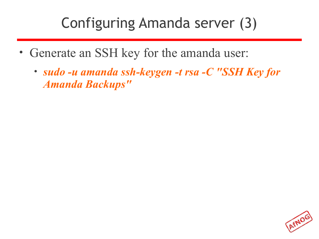#### Configuring Amanda server (3)

- Generate an SSH key for the amanda user:
	- *sudo -u amanda ssh-keygen -t rsa -C "SSH Key for Amanda Backups"*

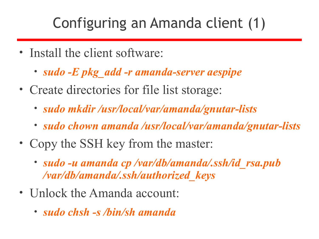#### Configuring an Amanda client (1)

- Install the client software:
	- *sudo -E pkg\_add -r amanda-server aespipe*
- Create directories for file list storage:
	- *sudo mkdir /usr/local/var/amanda/gnutar-lists*
	- *sudo chown amanda /usr/local/var/amanda/gnutar-lists*
- Copy the SSH key from the master:
	- *sudo -u amanda cp /var/db/amanda/.ssh/id\_rsa.pub /var/db/amanda/.ssh/authorized\_keys*
- Unlock the Amanda account:
	- *sudo chsh -s /bin/sh amanda*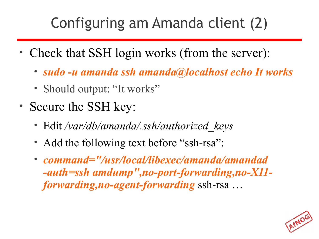# Configuring am Amanda client (2)

- Check that SSH login works (from the server):
	- *sudo -u amanda ssh amanda@localhost echo It works*
	- Should output: "It works"
- Secure the SSH key:
	- Edit */var/db/amanda/.ssh/authorized\_keys*
	- Add the following text before "ssh-rsa":
	- *command="/usr/local/libexec/amanda/amandad -auth=ssh amdump",no-port-forwarding,no-X11 forwarding,no-agent-forwarding* ssh-rsa …

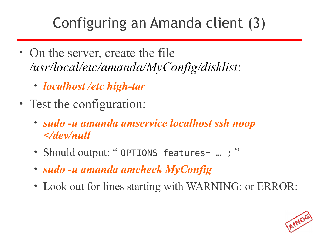### Configuring an Amanda client (3)

- On the server, create the file */usr/local/etc/amanda/MyConfig/disklist*:
	- *localhost /etc high-tar*
- Test the configuration:
	- *sudo -u amanda amservice localhost ssh noop </dev/null*
	- Should output: "OPTIONS features= ...; "
	- *sudo -u amanda amcheck MyConfig*
	- Look out for lines starting with WARNING: or ERROR:

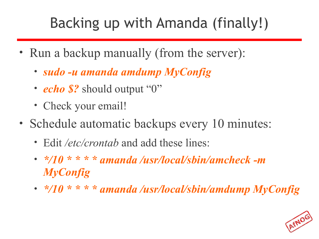# Backing up with Amanda (finally!)

- Run a backup manually (from the server):
	- *sudo -u amanda amdump MyConfig*
	- *echo \$?* should output "0"
	- Check your email!
- Schedule automatic backups every 10 minutes:
	- Edit */etc/crontab* and add these lines:
	- *\*/10 \* \* \* \* amanda /usr/local/sbin/amcheck -m MyConfig*
	- *\*/10 \* \* \* \* amanda /usr/local/sbin/amdump MyConfig*

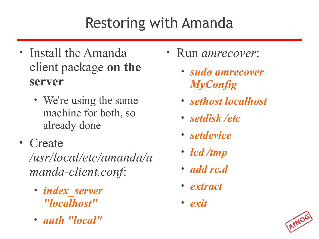# Restoring with Amanda

- Install the Amanda client package **on the server**
	- We're using the same machine for both, so already done
- Create

*/usr/local/etc/amanda/a manda-client.conf*:

- *index\_server "localhost"*
- *auth "local"*
- Run *amrecover*:
	- *sudo amrecover MyConfig*
	- *sethost localhost*
	- *setdisk /etc*
	- *setdevice*
	- *lcd /tmp*
	- *add rc.d*
	- *extract*
	- *exit*

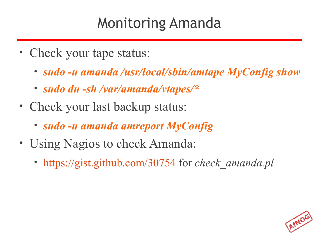#### Monitoring Amanda

- Check your tape status:
	- *sudo -u amanda /usr/local/sbin/amtape MyConfig show*
	- *sudo du -sh /var/amanda/vtapes/\**
- Check your last backup status:
	- *sudo -u amanda amreport MyConfig*
- Using Nagios to check Amanda:
	- <https://gist.github.com/30754> for *check\_amanda.pl*

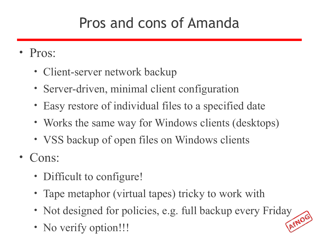#### Pros and cons of Amanda

- Pros:
	- Client-server network backup
	- Server-driven, minimal client configuration
	- Easy restore of individual files to a specified date
	- Works the same way for Windows clients (desktops)
	- VSS backup of open files on Windows clients
- Cons:
	- Difficult to configure!
	- Tape metaphor (virtual tapes) tricky to work with
	- Not designed for policies, e.g. full backup every Friday
	- No verify option!!!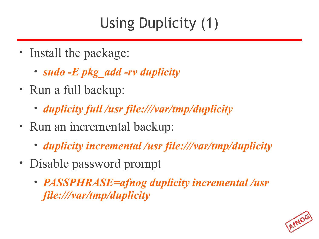# Using Duplicity (1)

- Install the package:
	- *sudo -E pkg\_add -rv duplicity*
- Run a full backup:
	- *duplicity full /usr file:///var/tmp/duplicity*
- Run an incremental backup:
	- *duplicity incremental /usr file:///var/tmp/duplicity*
- Disable password prompt
	- *PASSPHRASE=afnog duplicity incremental /usr file:///var/tmp/duplicity*

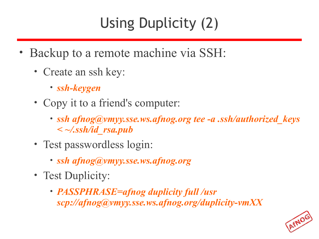# Using Duplicity (2)

- Backup to a remote machine via SSH:
	- Create an ssh key:
		- *ssh-keygen*
	- Copy it to a friend's computer:
		- *ssh afnog@vmyy.sse.ws.afnog.org tee -a .ssh/authorized\_keys < ~/.ssh/id\_rsa.pub*
	- Test passwordless login:
		- *ssh afnog@vmyy.sse.ws.afnog.org*
	- Test Duplicity:
		- *PASSPHRASE=afnog duplicity full /usr scp://afnog@vmyy.sse.ws.afnog.org/duplicity-vmXX*

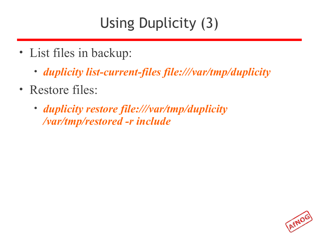# Using Duplicity (3)

- List files in backup:
	- *duplicity list-current-files file:///var/tmp/duplicity*
- Restore files:
	- *duplicity restore file:///var/tmp/duplicity /var/tmp/restored -r include*

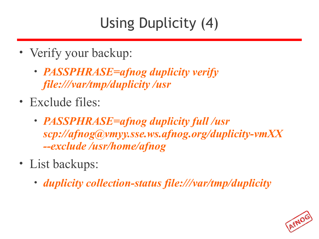# Using Duplicity (4)

- Verify your backup:
	- *PASSPHRASE=afnog duplicity verify file:///var/tmp/duplicity /usr*
- Exclude files:
	- *PASSPHRASE=afnog duplicity full /usr scp://afnog@vmyy.sse.ws.afnog.org/duplicity-vmXX --exclude /usr/home/afnog*
- List backups:
	- *duplicity collection-status file:///var/tmp/duplicity*

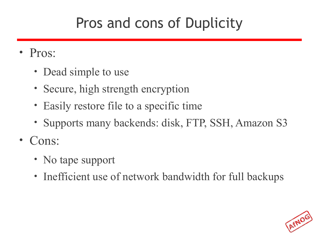### Pros and cons of Duplicity

- Pros:
	- Dead simple to use
	- Secure, high strength encryption
	- Easily restore file to a specific time
	- Supports many backends: disk, FTP, SSH, Amazon S3
- Cons:
	- No tape support
	- Inefficient use of network bandwidth for full backups